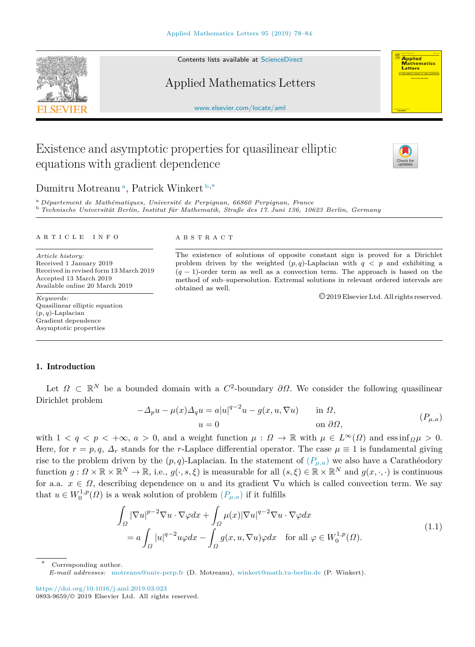Contents lists available at [ScienceDirect](http://www.elsevier.com/locate/aml)

## Applied Mathematics Letters

[www.elsevier.com/locate/aml](http://www.elsevier.com/locate/aml)

# Existence and asymptotic properties for quasilinear elliptic equations with gradient dependence



<span id="page-0-0"></span><sup>a</sup> *Département de Mathématiques, Université de Perpignan, 66860 Perpignan, France*

<span id="page-0-1"></span><sup>b</sup> *Technische Universität Berlin, Institut für Mathematik, Straße des 17. Juni 136, 10623 Berlin, Germany*

#### a r t i c l e i n f o

*Article history:* Received 1 January 2019 Received in revised form 13 March 2019 Accepted 13 March 2019 Available online 20 March 2019

*Keywords:* Quasilinear elliptic equation (*p, q*)-Laplacian Gradient dependence Asymptotic properties

#### A B S T R A C T

The existence of solutions of opposite constant sign is proved for a Dirichlet problem driven by the weighted  $(p,q)$ -Laplacian with  $q \leq p$  and exhibiting a (*q* − 1)-order term as well as a convection term. The approach is based on the method of sub–supersolution. Extremal solutions in relevant ordered intervals are obtained as well.

<span id="page-0-4"></span><span id="page-0-3"></span>©2019 Elsevier Ltd. All rights reserved.

## 1. Introduction

Let  $\Omega \subset \mathbb{R}^N$  be a bounded domain with a  $C^2$ -boundary  $\partial \Omega$ . We consider the following quasilinear Dirichlet problem

$$
-\Delta_p u - \mu(x)\Delta_q u = a|u|^{q-2}u - g(x, u, \nabla u) \quad \text{in } \Omega,
$$
  
\n
$$
u = 0 \quad \text{on } \partial\Omega,
$$
 (P<sub>µ,a</sub>)

with  $1 < q < p < +\infty$ ,  $a > 0$ , and a weight function  $\mu : \Omega \to \mathbb{R}$  with  $\mu \in L^{\infty}(\Omega)$  and essinf $\Omega \mu > 0$ . Here, for  $r = p, q, \Delta_r$  stands for the *r*-Laplace differential operator. The case  $\mu \equiv 1$  is fundamental giving rise to the problem driven by the  $(p, q)$ -Laplacian. In the statement of  $(P_{\mu,a})$  we also have a Carathéodory function  $g: \Omega \times \mathbb{R} \times \mathbb{R}^N \to \mathbb{R}$ , i.e.,  $g(\cdot, s, \xi)$  is measurable for all  $(s, \xi) \in \mathbb{R} \times \mathbb{R}^N$  and  $g(x, \cdot, \cdot)$  is continuous for a.a.  $x \in \Omega$ , describing dependence on *u* and its gradient  $\nabla u$  which is called convection term. We say that  $u \in W_0^{1,p}(\Omega)$  is a weak solution of problem  $(P_{\mu,a})$  if it fulfills

$$
\int_{\Omega} |\nabla u|^{p-2} \nabla u \cdot \nabla \varphi dx + \int_{\Omega} \mu(x) |\nabla u|^{q-2} \nabla u \cdot \nabla \varphi dx
$$
\n
$$
= a \int_{\Omega} |u|^{q-2} u \varphi dx - \int_{\Omega} g(x, u, \nabla u) \varphi dx \quad \text{for all } \varphi \in W_0^{1,p}(\Omega). \tag{1.1}
$$

Corresponding author.

<https://doi.org/10.1016/j.aml.2019.03.023> 0893-9659/© 2019 Elsevier Ltd. All rights reserved.





**Applied**<br>Mathematics Letters

<span id="page-0-2"></span>*E-mail addresses:* [motreanu@univ-perp.fr](mailto:motreanu@univ-perp.fr) (D. Motreanu), [winkert@math.tu-berlin.de](mailto:winkert@math.tu-berlin.de) (P. Winkert).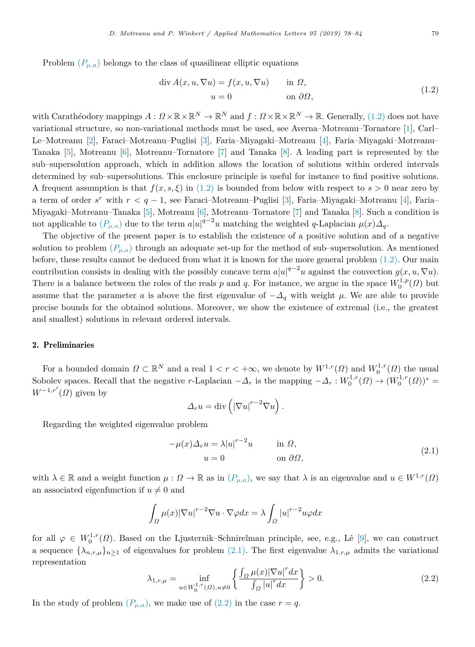Problem  $(P_{\mu,a})$  belongs to the class of quasilinear elliptic equations

<span id="page-1-0"></span>
$$
\operatorname{div} A(x, u, \nabla u) = f(x, u, \nabla u) \qquad \text{in } \Omega,
$$
  

$$
u = 0 \qquad \text{on } \partial \Omega,
$$
 (1.2)

with Carathéodory mappings  $A: \Omega \times \mathbb{R} \times \mathbb{R}^N \to \mathbb{R}^N$  and  $f: \Omega \times \mathbb{R} \times \mathbb{R}^N \to \mathbb{R}$ . Generally,  $(1.2)$  does not have variational structure, so non-variational methods must be used, see Averna–Motreanu–Tornatore [[1\]](#page-5-0), Carl– Le–Motreanu [[2\]](#page-5-1), Faraci–Motreanu–Puglisi [[3](#page-5-2)], Faria–Miyagaki–Motreanu [[4\]](#page-5-3), Faria–Miyagaki–Motreanu– Tanaka [\[5](#page-5-4)], Motreanu [\[6](#page-5-5)], Motreanu–Tornatore [[7](#page-6-0)] and Tanaka [\[8](#page-6-1)]. A leading part is represented by the sub–supersolution approach, which in addition allows the location of solutions within ordered intervals determined by sub–supersolutions. This enclosure principle is useful for instance to find positive solutions. A frequent assumption is that  $f(x, s, \xi)$  in ([1.2\)](#page-1-0) is bounded from below with respect to  $s > 0$  near zero by a term of order *s <sup>r</sup>* with *r < q* − 1, see Faraci–Motreanu–Puglisi [\[3](#page-5-2)], Faria–Miyagaki–Motreanu [[4](#page-5-3)], Faria– Miyagaki–Motreanu–Tanaka [[5\]](#page-5-4), Motreanu [[6\]](#page-5-5), Motreanu–Tornatore [[7\]](#page-6-0) and Tanaka [[8\]](#page-6-1). Such a condition is not applicable to  $(P_{\mu,a})$  due to the term  $a|u|^{q-2}u$  matching the weighted *q*-Laplacian  $\mu(x)\Delta_q$ .

The objective of the present paper is to establish the existence of a positive solution and of a negative solution to problem  $(P_{\mu,a})$  through an adequate set-up for the method of sub–supersolution. As mentioned before, these results cannot be deduced from what it is known for the more general problem ([1.2\)](#page-1-0). Our main contribution consists in dealing with the possibly concave term  $a|u|^{q-2}u$  against the convection  $g(x, u, \nabla u)$ . There is a balance between the roles of the reals *p* and *q*. For instance, we argue in the space  $W_0^{1,p}(\Omega)$  but assume that the parameter *a* is above the first eigenvalue of  $-\Delta_q$  with weight  $\mu$ . We are able to provide precise bounds for the obtained solutions. Moreover, we show the existence of extremal (i.e., the greatest and smallest) solutions in relevant ordered intervals.

#### 2. Preliminaries

For a bounded domain  $\Omega \subset \mathbb{R}^N$  and a real  $1 < r < +\infty$ , we denote by  $W^{1,r}(\Omega)$  and  $W^{1,r}_0(\Omega)$  the usual Sobolev spaces. Recall that the negative *r*-Laplacian  $-\Delta_r$  is the mapping  $-\Delta_r : W_0^{1,r}(\Omega) \to (W_0^{1,r}(\Omega))^*$  $W^{-1,r'}(\Omega)$  given by

<span id="page-1-1"></span>
$$
\Delta_r u = \text{div}\left( \left|\nabla u\right|^{r-2} \nabla u \right).
$$

Regarding the weighted eigenvalue problem

$$
-\mu(x)\Delta_r u = \lambda |u|^{r-2}u \qquad \text{in } \Omega,
$$
  
\n
$$
u = 0 \qquad \text{on } \partial\Omega,
$$
\n(2.1)

with  $\lambda \in \mathbb{R}$  and a weight function  $\mu : \Omega \to \mathbb{R}$  as in  $(P_{\mu,a})$ , we say that  $\lambda$  is an eigenvalue and  $u \in W^{1,r}(\Omega)$ an associated eigenfunction if  $u \neq 0$  and

$$
\int_{\Omega} \mu(x) |\nabla u|^{r-2} \nabla u \cdot \nabla \varphi dx = \lambda \int_{\Omega} |u|^{r-2} u \varphi dx
$$

for all  $\varphi \in W_0^{1,r}(\Omega)$ . Based on the Ljusternik–Schnirelman principle, see, e.g., Lê [[9\]](#page-6-2), we can construct a sequence  $\{\lambda_{n,r,\mu}\}_{n>1}$  of eigenvalues for problem ([2.1\)](#page-1-1). The first eigenvalue  $\lambda_{1,r,\mu}$  admits the variational representation

<span id="page-1-2"></span>
$$
\lambda_{1,r,\mu} = \inf_{u \in W_0^{1,r}(\Omega), u \neq 0} \left\{ \frac{\int_{\Omega} \mu(x) |\nabla u|^r dx}{\int_{\Omega} |u|^r dx} \right\} > 0.
$$
\n(2.2)

In the study of problem  $(P_{\mu,a})$ , we make use of  $(2.2)$  $(2.2)$  $(2.2)$  in the case  $r = q$ .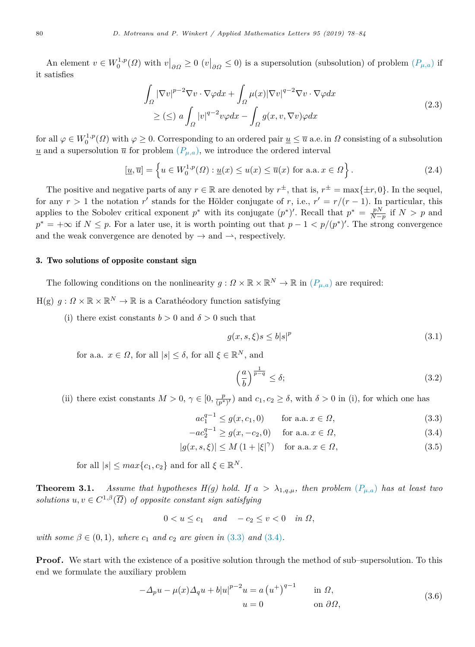An element  $v \in W_0^{1,p}(\Omega)$  with  $v|_{\partial \Omega} \geq 0$  ( $v|_{\partial \Omega} \leq 0$ ) is a supersolution (subsolution) of problem  $(P_{\mu,a})$  if it satisfies

<span id="page-2-5"></span>
$$
\int_{\Omega} |\nabla v|^{p-2} \nabla v \cdot \nabla \varphi dx + \int_{\Omega} \mu(x) |\nabla v|^{q-2} \nabla v \cdot \nabla \varphi dx
$$
\n
$$
\geq (\leq) \ a \int_{\Omega} |v|^{q-2} v \varphi dx - \int_{\Omega} g(x, v, \nabla v) \varphi dx \tag{2.3}
$$

for all  $\varphi \in W_0^{1,p}(\Omega)$  with  $\varphi \geq 0$ . Corresponding to an ordered pair  $\underline{u} \leq \overline{u}$  a.e. in  $\Omega$  consisting of a subsolution  $\underline{u}$  and a supersolution  $\overline{u}$  for problem  $(P_{\mu,a})$ , we introduce the ordered interval

$$
[\underline{u}, \overline{u}] = \left\{ u \in W_0^{1,p}(\Omega) : \underline{u}(x) \le u(x) \le \overline{u}(x) \text{ for a.a. } x \in \Omega \right\}.
$$
\n(2.4)

The positive and negative parts of any  $r \in \mathbb{R}$  are denoted by  $r^{\pm}$ , that is,  $r^{\pm} = \max\{\pm r, 0\}$ . In the sequel, for any  $r > 1$  the notation  $r'$  stands for the Hölder conjugate of r, i.e.,  $r' = r/(r-1)$ . In particular, this applies to the Sobolev critical exponent  $p^*$  with its conjugate  $(p^*)'$ . Recall that  $p^* = \frac{pN}{N-p}$  if  $N > p$  and  $p^* = +\infty$  if  $N \leq p$ . For a later use, it is worth pointing out that  $p-1 < p/(p^*)'$ . The strong convergence and the weak convergence are denoted by  $\rightarrow$  and  $\rightarrow$ , respectively.

## 3. Two solutions of opposite constant sign

The following conditions on the nonlinearity  $g: \Omega \times \mathbb{R} \times \mathbb{R}^N \to \mathbb{R}$  in  $(P_{\mu,a})$  are required:

 $H(g)$   $g: \Omega \times \mathbb{R} \times \mathbb{R}^N \to \mathbb{R}$  is a Carathéodory function satisfying

(i) there exist constants  $b > 0$  and  $\delta > 0$  such that

<span id="page-2-8"></span>
$$
g(x, s, \xi)s \le b|s|^p \tag{3.1}
$$

for a.a.  $x \in \Omega$ , for all  $|s| \leq \delta$ , for all  $\xi \in \mathbb{R}^N$ , and

<span id="page-2-6"></span><span id="page-2-4"></span><span id="page-2-3"></span><span id="page-2-1"></span><span id="page-2-0"></span>
$$
\left(\frac{a}{b}\right)^{\frac{1}{p-q}} \le \delta; \tag{3.2}
$$

(ii) there exist constants  $M > 0$ ,  $\gamma \in [0, \frac{p}{(p^*)'}]$  and  $c_1, c_2 \ge \delta$ , with  $\delta > 0$  in (i), for which one has

$$
ac_1^{q-1} \le g(x, c_1, 0) \qquad \text{for a.a. } x \in \Omega,
$$
\n(3.3)

$$
-ac_2^{q-1} \ge g(x, -c_2, 0) \quad \text{for a.a. } x \in \Omega,
$$
\n(3.4)

$$
|g(x, s, \xi)| \le M\left(1 + |\xi|^{\gamma}\right) \quad \text{for a.a. } x \in \Omega,
$$
\n(3.5)

for all  $|s| \leq max\{c_1, c_2\}$  and for all  $\xi \in \mathbb{R}^N$ .

<span id="page-2-7"></span>**Theorem 3.1.** *Assume that hypotheses H(g) hold. If*  $a > \lambda_{1,q,\mu}$ *, then problem*  $(P_{\mu,a})$  *has at least two solutions*  $u, v \in C^{1,\beta}(\overline{\Omega})$  *of opposite constant sign satisfying* 

<span id="page-2-2"></span> $0 < u \leq c_1$  *and*  $-c_2 \leq v < 0$  *in*  $\Omega$ ,

*with some*  $\beta \in (0, 1)$ *, where*  $c_1$  *and*  $c_2$  *are given in* [\(3.3\)](#page-2-0) *and* ([3.4\)](#page-2-1)*.* 

**Proof.** We start with the existence of a positive solution through the method of sub–supersolution. To this end we formulate the auxiliary problem

$$
-\Delta_p u - \mu(x)\Delta_q u + b|u|^{p-2}u = a(u^+)^{q-1} \quad \text{in } \Omega,
$$
  
\n
$$
u = 0 \quad \text{on } \partial\Omega,
$$
\n(3.6)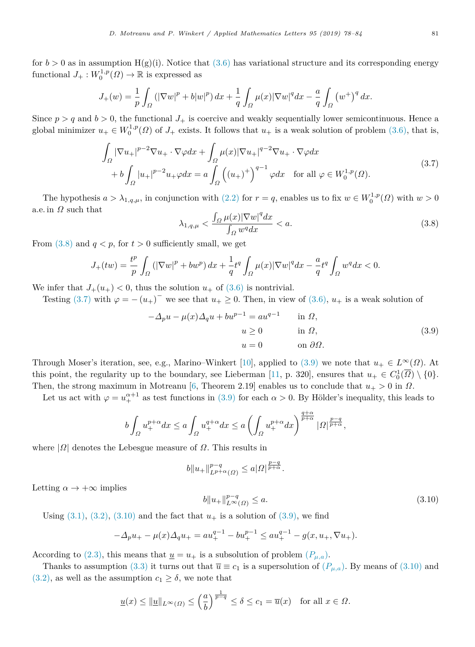for  $b > 0$  as in assumption H(g)(i). Notice that ([3.6](#page-2-2)) has variational structure and its corresponding energy functional  $J_+ : W_0^{1,p}(\Omega) \to \mathbb{R}$  is expressed as

$$
J_{+}(w) = \frac{1}{p} \int_{\Omega} (|\nabla w|^{p} + b|w|^{p}) dx + \frac{1}{q} \int_{\Omega} \mu(x) |\nabla w|^{q} dx - \frac{a}{q} \int_{\Omega} (w^{+})^{q} dx.
$$

Since  $p > q$  and  $b > 0$ , the functional  $J_+$  is coercive and weakly sequentially lower semicontinuous. Hence a global minimizer  $u_+ \in W_0^{1,p}(\Omega)$  of  $J_+$  exists. It follows that  $u_+$  is a weak solution of problem ([3.6](#page-2-2)), that is,

$$
\int_{\Omega} |\nabla u_{+}|^{p-2} \nabla u_{+} \cdot \nabla \varphi dx + \int_{\Omega} \mu(x) |\nabla u_{+}|^{q-2} \nabla u_{+} \cdot \nabla \varphi dx \n+ b \int_{\Omega} |u_{+}|^{p-2} u_{+} \varphi dx = a \int_{\Omega} ((u_{+})^{+})^{q-1} \varphi dx \quad \text{for all } \varphi \in W_{0}^{1,p}(\Omega).
$$
\n(3.7)

The hypothesis  $a > \lambda_{1,q,\mu}$ , in conjunction with ([2.2\)](#page-1-2) for  $r = q$ , enables us to fix  $w \in W_0^{1,p}(\Omega)$  with  $w > 0$ a.e. in  $\Omega$  such that

<span id="page-3-2"></span><span id="page-3-1"></span><span id="page-3-0"></span>
$$
\lambda_{1,q,\mu} < \frac{\int_{\Omega} \mu(x) |\nabla w|^q dx}{\int_{\Omega} w^q dx} < a. \tag{3.8}
$$

From  $(3.8)$  $(3.8)$  and  $q < p$ , for  $t > 0$  sufficiently small, we get

$$
J_{+}(tw) = \frac{t^{p}}{p} \int_{\Omega} \left( |\nabla w|^{p} + bw^{p} \right) dx + \frac{1}{q} t^{q} \int_{\Omega} \mu(x) |\nabla w|^{q} dx - \frac{a}{q} t^{q} \int_{\Omega} w^{q} dx < 0.
$$

We infer that  $J_+(u_+) < 0$ , thus the solution  $u_+$  of  $(3.6)$  $(3.6)$  is nontrivial.

Testing ([3.7\)](#page-3-1) with  $\varphi = -(u_+)^{\dagger}$  we see that  $u_+ \ge 0$ . Then, in view of ([3.6](#page-2-2)),  $u_+$  is a weak solution of

$$
-\Delta_p u - \mu(x)\Delta_q u + b u^{p-1} = a u^{q-1} \quad \text{in } \Omega,
$$
  
\n
$$
u \ge 0 \quad \text{in } \Omega,
$$
  
\n
$$
u = 0 \quad \text{on } \partial\Omega.
$$
\n(3.9)

Through Moser's iteration, see, e.g., Marino–Winkert [[10\]](#page-6-3), applied to ([3.9\)](#page-3-2) we note that  $u_+ \in L^{\infty}(\Omega)$ . At this point, the regularity up to the boundary, see Lieberman [[11,](#page-6-4) p. 320], ensures that  $u_+ \in C_0^1(\overline{\Omega}) \setminus \{0\}$ . Then, the strong maximum in Motreanu [[6,](#page-5-5) Theorem 2.19] enables us to conclude that  $u_+ > 0$  in  $\Omega$ .

Let us act with  $\varphi = u_+^{\alpha+1}$  as test functions in ([3.9](#page-3-2)) for each  $\alpha > 0$ . By Hölder's inequality, this leads to

$$
b\int_{\Omega}u_+^{p+\alpha}dx\leq a\int_{\Omega}u_+^{q+\alpha}dx\leq a\left(\int_{\Omega}u_+^{p+\alpha}dx\right)^{\frac{q+\alpha}{p+\alpha}}|\Omega|^{\frac{p-q}{p+\alpha}},
$$

where  $|\Omega|$  denotes the Lebesgue measure of  $\Omega$ . This results in

$$
b\|u_+\|_{L^{p+\alpha}(\varOmega)}^{p-q}\leq a|\varOmega|^{\frac{p-q}{p+\alpha}}.
$$

Letting  $\alpha \to +\infty$  implies

<span id="page-3-3"></span>
$$
b||u_+||_{L^{\infty}(\Omega)}^{p-q} \le a. \tag{3.10}
$$

Using  $(3.1)$  $(3.1)$ ,  $(3.2)$  $(3.2)$ ,  $(3.10)$  $(3.10)$  and the fact that  $u_+$  is a solution of  $(3.9)$  $(3.9)$ , we find

$$
-\Delta_p u_+ - \mu(x)\Delta_q u_+ = au_+^{q-1} - bu_+^{p-1} \le au_+^{q-1} - g(x, u_+, \nabla u_+).
$$

According to [\(2.3\)](#page-2-5), this means that  $\underline{u} = u_+$  is a subsolution of problem  $(P_{\mu,a})$ .

Thanks to assumption ([3.3\)](#page-2-0) it turns out that  $\overline{u} \equiv c_1$  is a supersolution of  $(P_{\mu,a})$ . By means of [\(3.10\)](#page-3-3) and  $(3.2)$  $(3.2)$ , as well as the assumption  $c_1 \geq \delta$ , we note that

$$
\underline{u}(x) \le \|\underline{u}\|_{L^{\infty}(\Omega)} \le \left(\frac{a}{b}\right)^{\frac{1}{p-q}} \le \delta \le c_1 = \overline{u}(x) \quad \text{for all } x \in \Omega.
$$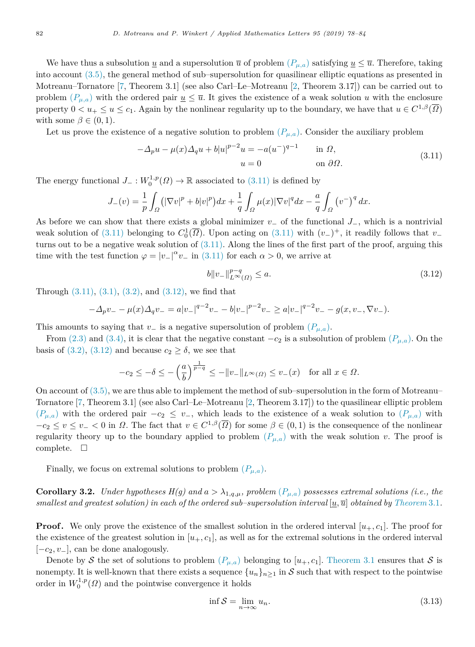We have thus a subsolution <u>*u*</u> and a supersolution  $\overline{u}$  of problem  $(P_{\mu,a})$  satisfying  $\underline{u} \leq \overline{u}$ . Therefore, taking into account [\(3.5\)](#page-2-6), the general method of sub–supersolution for quasilinear elliptic equations as presented in Motreanu–Tornatore [[7,](#page-6-0) Theorem 3.1] (see also Carl–Le–Motreanu [[2,](#page-5-1) Theorem 3.17]) can be carried out to problem  $(P_{\mu,a})$  with the ordered pair  $u \leq \overline{u}$ . It gives the existence of a weak solution *u* with the enclosure property  $0 < u_+ \leq u \leq c_1$ . Again by the nonlinear regularity up to the boundary, we have that  $u \in C^{1,\beta}(\overline{\Omega})$ with some  $\beta \in (0, 1)$ .

Let us prove the existence of a negative solution to problem  $(P_{\mu,a})$ . Consider the auxiliary problem

$$
-\Delta_p u - \mu(x)\Delta_q u + b|u|^{p-2}u = -a(u^-)^{q-1} \quad \text{in } \Omega,
$$
  
\n
$$
u = 0 \quad \text{on } \partial\Omega.
$$
\n(3.11)

The energy functional  $J_-\,:\,W_0^{1,p}(\Omega)\to\mathbb{R}$  associated to ([3.11\)](#page-4-0) is defined by

$$
J_{-}(v) = \frac{1}{p} \int_{\Omega} (|\nabla v|^{p} + b|v|^{p}) dx + \frac{1}{q} \int_{\Omega} \mu(x) |\nabla v|^{q} dx - \frac{a}{q} \int_{\Omega} (v^{-})^{q} dx.
$$

As before we can show that there exists a global minimizer *v*<sup>−</sup> of the functional *J*−, which is a nontrivial weak solution of [\(3.11](#page-4-0)) belonging to  $C_0^1(\overline{\Omega})$ . Upon acting on [\(3.11\)](#page-4-0) with  $(v_-)^+$ , it readily follows that  $v_$ turns out to be a negative weak solution of  $(3.11)$  $(3.11)$  $(3.11)$ . Along the lines of the first part of the proof, arguing this time with the test function  $\varphi = |v_-|^{\alpha} v_-$  in ([3.11\)](#page-4-0) for each  $\alpha > 0$ , we arrive at

<span id="page-4-1"></span><span id="page-4-0"></span>
$$
b\|v_{-}\|_{L^{\infty}(\Omega)}^{p-q} \le a. \tag{3.12}
$$

Through  $(3.11)$  $(3.11)$ ,  $(3.1)$  $(3.1)$  $(3.1)$ ,  $(3.2)$  $(3.2)$ , and  $(3.12)$  $(3.12)$ , we find that

$$
-\Delta_p v_- - \mu(x)\Delta_q v_- = a|v_-|^{q-2}v_- - b|v_-|^{p-2}v_- \ge a|v_-|^{q-2}v_- - g(x,v_-,\nabla v_-).
$$

This amounts to saying that *v*<sub>−</sub> is a negative supersolution of problem  $(P_{\mu,a})$ .

From ([2.3](#page-2-5)) and [\(3.4\)](#page-2-1), it is clear that the negative constant  $-c_2$  is a subsolution of problem  $(P_{\mu,a})$ . On the basis of ([3.2\)](#page-2-4), [\(3.12\)](#page-4-1) and because  $c_2 \geq \delta$ , we see that

$$
-c_2\leq -\delta\leq -\left(\frac{a}{b}\right)^{\frac{1}{p-q}}\leq -\|v_-\|_{L^\infty(\varOmega)}\leq v_-(x)\quad\text{for all }x\in\varOmega.
$$

On account of ([3.5\)](#page-2-6), we are thus able to implement the method of sub–supersolution in the form of Motreanu– Tornatore [\[7](#page-6-0), Theorem 3.1] (see also Carl–Le–Motreanu [\[2](#page-5-1), Theorem 3.17]) to the quasilinear elliptic problem  $(P_{\mu,a})$  with the ordered pair  $-c_2 \leq v_-,$  which leads to the existence of a weak solution to  $(P_{\mu,a})$  with  $-c_2 \le v \le v < 0$  in  $\Omega$ . The fact that  $v \in C^{1,\beta}(\overline{\Omega})$  for some  $\beta \in (0,1)$  is the consequence of the nonlinear regularity theory up to the boundary applied to problem  $(P_{\mu,a})$  with the weak solution *v*. The proof is complete.  $\square$ 

Finally, we focus on extremal solutions to problem  $(P_{\mu,a})$ .

**Corollary 3.2.** *Under hypotheses*  $H(g)$  and  $a > \lambda_{1,q,\mu}$ , problem  $(P_{\mu,a})$  possesses extremal solutions (i.e., the *smallest and greatest solution) in each of the ordered sub–supersolution interval*  $[\underline{u}, \overline{u}]$  *obtained by [Theorem](#page-2-7)* [3.1](#page-2-7)*.* 

**Proof.** We only prove the existence of the smallest solution in the ordered interval  $[u_+, c_1]$ . The proof for the existence of the greatest solution in  $[u_+, c_1]$ , as well as for the extremal solutions in the ordered interval [−*c*2*, v*−], can be done analogously.

Denote by S the set of solutions to problem  $(P_{\mu,a})$  belonging to  $[u_+,c_1]$ . [Theorem](#page-2-7) [3.1](#page-2-7) ensures that S is nonempty. It is well-known that there exists a sequence  $\{u_n\}_{n\geq 1}$  in S such that with respect to the pointwise order in  $W_0^{1,p}(\Omega)$  and the pointwise convergence it holds

<span id="page-4-2"></span>
$$
\inf \mathcal{S} = \lim_{n \to \infty} u_n. \tag{3.13}
$$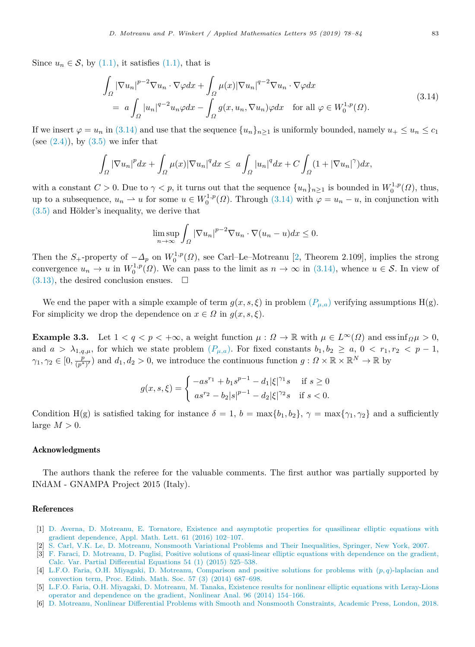Since  $u_n \in \mathcal{S}$ , by ([1.1\)](#page-0-4), it satisfies (1.1), that is

$$
\int_{\Omega} |\nabla u_n|^{p-2} \nabla u_n \cdot \nabla \varphi dx + \int_{\Omega} \mu(x) |\nabla u_n|^{q-2} \nabla u_n \cdot \nabla \varphi dx
$$
\n
$$
= a \int_{\Omega} |u_n|^{q-2} u_n \varphi dx - \int_{\Omega} g(x, u_n, \nabla u_n) \varphi dx \quad \text{for all } \varphi \in W_0^{1,p}(\Omega). \tag{3.14}
$$

If we insert  $\varphi = u_n$  in [\(3.14\)](#page-5-6) and use that the sequence  $\{u_n\}_{n\geq 1}$  is uniformly bounded, namely  $u_+ \leq u_n \leq c_1$ (see  $(2.4)$  $(2.4)$ ), by  $(3.5)$  we infer that

$$
\int_{\Omega} |\nabla u_n|^p dx + \int_{\Omega} \mu(x) |\nabla u_n|^q dx \leq a \int_{\Omega} |u_n|^q dx + C \int_{\Omega} (1 + |\nabla u_n|^{\gamma}) dx,
$$

with a constant  $C > 0$ . Due to  $\gamma < p$ , it turns out that the sequence  $\{u_n\}_{n\geq 1}$  is bounded in  $W_0^{1,p}(\Omega)$ , thus, up to a subsequence,  $u_n \rightharpoonup u$  for some  $u \in W_0^{1,p}(\Omega)$ . Through ([3.14](#page-5-6)) with  $\varphi = u_n - u$ , in conjunction with  $(3.5)$  $(3.5)$  and Hölder's inequality, we derive that

<span id="page-5-6"></span>
$$
\limsup_{n \to \infty} \int_{\Omega} |\nabla u_n|^{p-2} \nabla u_n \cdot \nabla (u_n - u) dx \le 0.
$$

Then the  $S_+$ -property of  $-\Delta_p$  on  $W_0^{1,p}(\Omega)$ , see Carl–Le–Motreanu [[2,](#page-5-1) Theorem 2.109], implies the strong convergence  $u_n \to u$  in  $W_0^{1,p}(\Omega)$ . We can pass to the limit as  $n \to \infty$  in [\(3.14\)](#page-5-6), whence  $u \in \mathcal{S}$ . In view of  $(3.13)$  $(3.13)$ , the desired conclusion ensues.  $\Box$ 

We end the paper with a simple example of term  $g(x, s, \xi)$  in problem  $(P_{\mu, a})$  verifying assumptions H(g). For simplicity we drop the dependence on  $x \in \Omega$  in  $g(x, s, \xi)$ .

**Example 3.3.** Let  $1 < q < p < +\infty$ , a weight function  $\mu : \Omega \to \mathbb{R}$  with  $\mu \in L^{\infty}(\Omega)$  and essinf $\Omega \mu > 0$ , and  $a > \lambda_{1,q,\mu}$ , for which we state problem  $(P_{\mu,a})$ . For fixed constants  $b_1, b_2 \ge a, 0 < r_1, r_2 < p-1$ ,  $\gamma_1, \gamma_2 \in [0, \frac{p}{(p^*)'} )$  and  $d_1, d_2 > 0$ , we introduce the continuous function  $g: \Omega \times \mathbb{R} \times \mathbb{R}^N \to \mathbb{R}$  by

$$
g(x, s, \xi) = \begin{cases} -as^{r_1} + b_1 s^{p-1} - d_1 |\xi|^{\gamma_1} s & \text{if } s \ge 0\\ as^{r_2} - b_2 |s|^{p-1} - d_2 |\xi|^{\gamma_2} s & \text{if } s < 0. \end{cases}
$$

Condition H(g) is satisfied taking for instance  $\delta = 1$ ,  $b = \max\{b_1, b_2\}$ ,  $\gamma = \max\{\gamma_1, \gamma_2\}$  and a sufficiently large  $M > 0$ .

#### Acknowledgments

The authors thank the referee for the valuable comments. The first author was partially supported by INdAM - GNAMPA Project 2015 (Italy).

### References

- <span id="page-5-0"></span>[1] [D. Averna, D. Motreanu, E. Tornatore, Existence and asymptotic properties for quasilinear elliptic equations with](http://refhub.elsevier.com/S0893-9659(19)30124-7/sb1) [gradient dependence, Appl. Math. Lett. 61 \(2016\) 102–107.](http://refhub.elsevier.com/S0893-9659(19)30124-7/sb1)
- <span id="page-5-1"></span>[2] [S. Carl, V.K. Le, D. Motreanu, Nonsmooth Variational Problems and Their Inequalities, Springer, New York, 2007.](http://refhub.elsevier.com/S0893-9659(19)30124-7/sb2)
- <span id="page-5-2"></span>[3] [F. Faraci, D. Motreanu, D. Puglisi, Positive solutions of quasi-linear elliptic equations with dependence on the gradient,](http://refhub.elsevier.com/S0893-9659(19)30124-7/sb3) [Calc. Var. Partial Differential Equations 54 \(1\) \(2015\) 525–538.](http://refhub.elsevier.com/S0893-9659(19)30124-7/sb3)
- <span id="page-5-3"></span>[4] [L.F.O. Faria, O.H. Miyagaki, D. Motreanu, Comparison and positive solutions for problems with \(](http://refhub.elsevier.com/S0893-9659(19)30124-7/sb4)*p, q*)-laplacian and [convection term, Proc. Edinb. Math. Soc. 57 \(3\) \(2014\) 687–698.](http://refhub.elsevier.com/S0893-9659(19)30124-7/sb4)
- <span id="page-5-4"></span>[5] [L.F.O. Faria, O.H. Miyagaki, D. Motreanu, M. Tanaka, Existence results for nonlinear elliptic equations with Leray-Lions](http://refhub.elsevier.com/S0893-9659(19)30124-7/sb5) [operator and dependence on the gradient, Nonlinear Anal. 96 \(2014\) 154–166.](http://refhub.elsevier.com/S0893-9659(19)30124-7/sb5)
- <span id="page-5-5"></span>[6] [D. Motreanu, Nonlinear Differential Problems with Smooth and Nonsmooth Constraints, Academic Press, London, 2018.](http://refhub.elsevier.com/S0893-9659(19)30124-7/sb6)